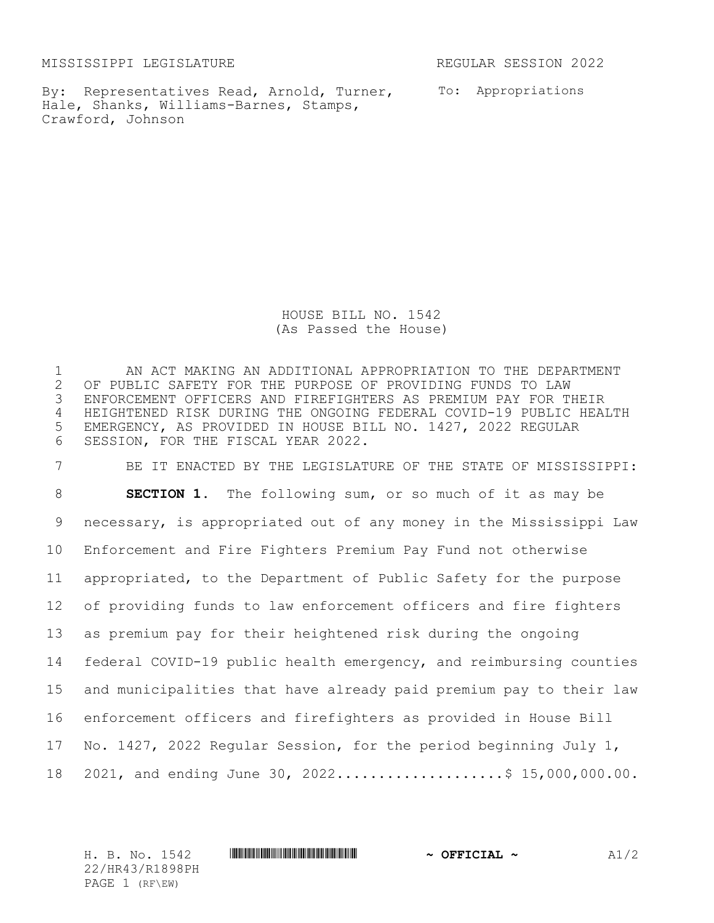MISSISSIPPI LEGISLATURE REGULAR SESSION 2022

By: Representatives Read, Arnold, Turner, To: Appropriations Hale, Shanks, Williams-Barnes, Stamps, Crawford, Johnson

HOUSE BILL NO. 1542 (As Passed the House)

1 AN ACT MAKING AN ADDITIONAL APPROPRIATION TO THE DEPARTMENT<br>2 OF PUBLIC SAFETY FOR THE PURPOSE OF PROVIDING FUNDS TO LAW 2 OF PUBLIC SAFETY FOR THE PURPOSE OF PROVIDING FUNDS TO LAW<br>3 ENFORCEMENT OFFICERS AND FIREFIGHTERS AS PREMIUM PAY FOR TI ENFORCEMENT OFFICERS AND FIREFIGHTERS AS PREMIUM PAY FOR THEIR HEIGHTENED RISK DURING THE ONGOING FEDERAL COVID-19 PUBLIC HEALTH EMERGENCY, AS PROVIDED IN HOUSE BILL NO. 1427, 2022 REGULAR SESSION, FOR THE FISCAL YEAR 2022.

 BE IT ENACTED BY THE LEGISLATURE OF THE STATE OF MISSISSIPPI: **SECTION 1.** The following sum, or so much of it as may be necessary, is appropriated out of any money in the Mississippi Law Enforcement and Fire Fighters Premium Pay Fund not otherwise appropriated, to the Department of Public Safety for the purpose of providing funds to law enforcement officers and fire fighters as premium pay for their heightened risk during the ongoing federal COVID-19 public health emergency, and reimbursing counties and municipalities that have already paid premium pay to their law enforcement officers and firefighters as provided in House Bill No. 1427, 2022 Regular Session, for the period beginning July 1, 18 2021, and ending June 30, 2022.....................\$ 15,000,000.00.

H. B. No. 1542 **HRANG READER AND AND AND AND ALLES** 22/HR43/R1898PH PAGE 1 (RF\EW)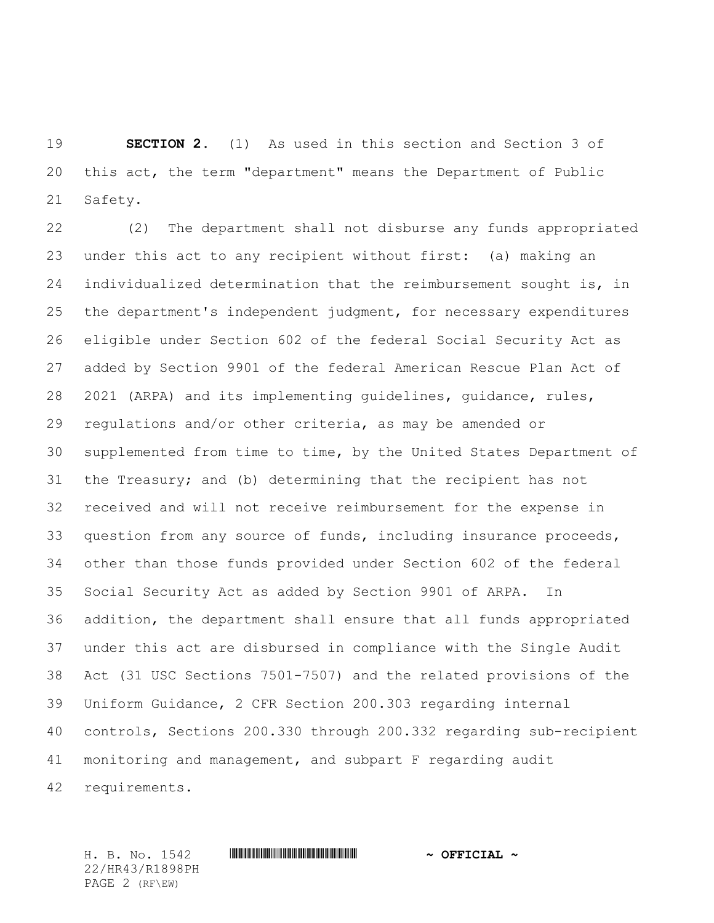**SECTION 2.** (1) As used in this section and Section 3 of this act, the term "department" means the Department of Public Safety.

 (2) The department shall not disburse any funds appropriated under this act to any recipient without first: (a) making an individualized determination that the reimbursement sought is, in the department's independent judgment, for necessary expenditures eligible under Section 602 of the federal Social Security Act as added by Section 9901 of the federal American Rescue Plan Act of 2021 (ARPA) and its implementing guidelines, guidance, rules, regulations and/or other criteria, as may be amended or supplemented from time to time, by the United States Department of the Treasury; and (b) determining that the recipient has not received and will not receive reimbursement for the expense in question from any source of funds, including insurance proceeds, other than those funds provided under Section 602 of the federal Social Security Act as added by Section 9901 of ARPA. In addition, the department shall ensure that all funds appropriated under this act are disbursed in compliance with the Single Audit Act (31 USC Sections 7501-7507) and the related provisions of the Uniform Guidance, 2 CFR Section 200.303 regarding internal controls, Sections 200.330 through 200.332 regarding sub-recipient monitoring and management, and subpart F regarding audit

requirements.

22/HR43/R1898PH PAGE 2 (RF\EW)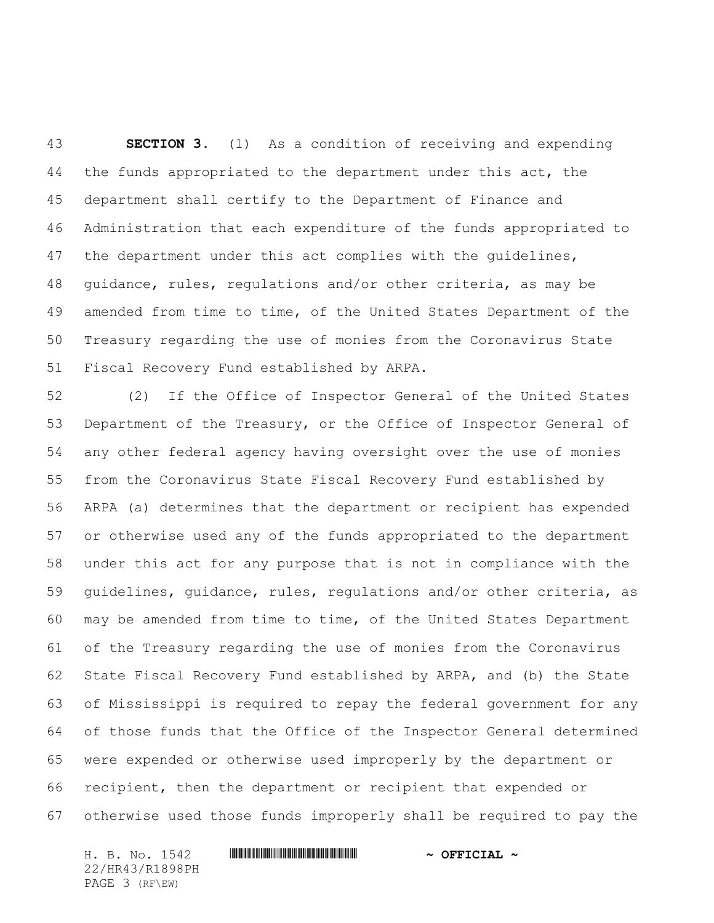**SECTION 3.** (1) As a condition of receiving and expending 44 the funds appropriated to the department under this act, the department shall certify to the Department of Finance and Administration that each expenditure of the funds appropriated to 47 the department under this act complies with the guidelines, guidance, rules, regulations and/or other criteria, as may be amended from time to time, of the United States Department of the Treasury regarding the use of monies from the Coronavirus State Fiscal Recovery Fund established by ARPA.

 (2) If the Office of Inspector General of the United States Department of the Treasury, or the Office of Inspector General of any other federal agency having oversight over the use of monies from the Coronavirus State Fiscal Recovery Fund established by ARPA (a) determines that the department or recipient has expended or otherwise used any of the funds appropriated to the department under this act for any purpose that is not in compliance with the guidelines, guidance, rules, regulations and/or other criteria, as may be amended from time to time, of the United States Department of the Treasury regarding the use of monies from the Coronavirus State Fiscal Recovery Fund established by ARPA, and (b) the State of Mississippi is required to repay the federal government for any of those funds that the Office of the Inspector General determined were expended or otherwise used improperly by the department or recipient, then the department or recipient that expended or otherwise used those funds improperly shall be required to pay the

H. B. No. 1542 **HRANG READ FOR A OFFICIAL ~** 22/HR43/R1898PH PAGE 3 (RF\EW)